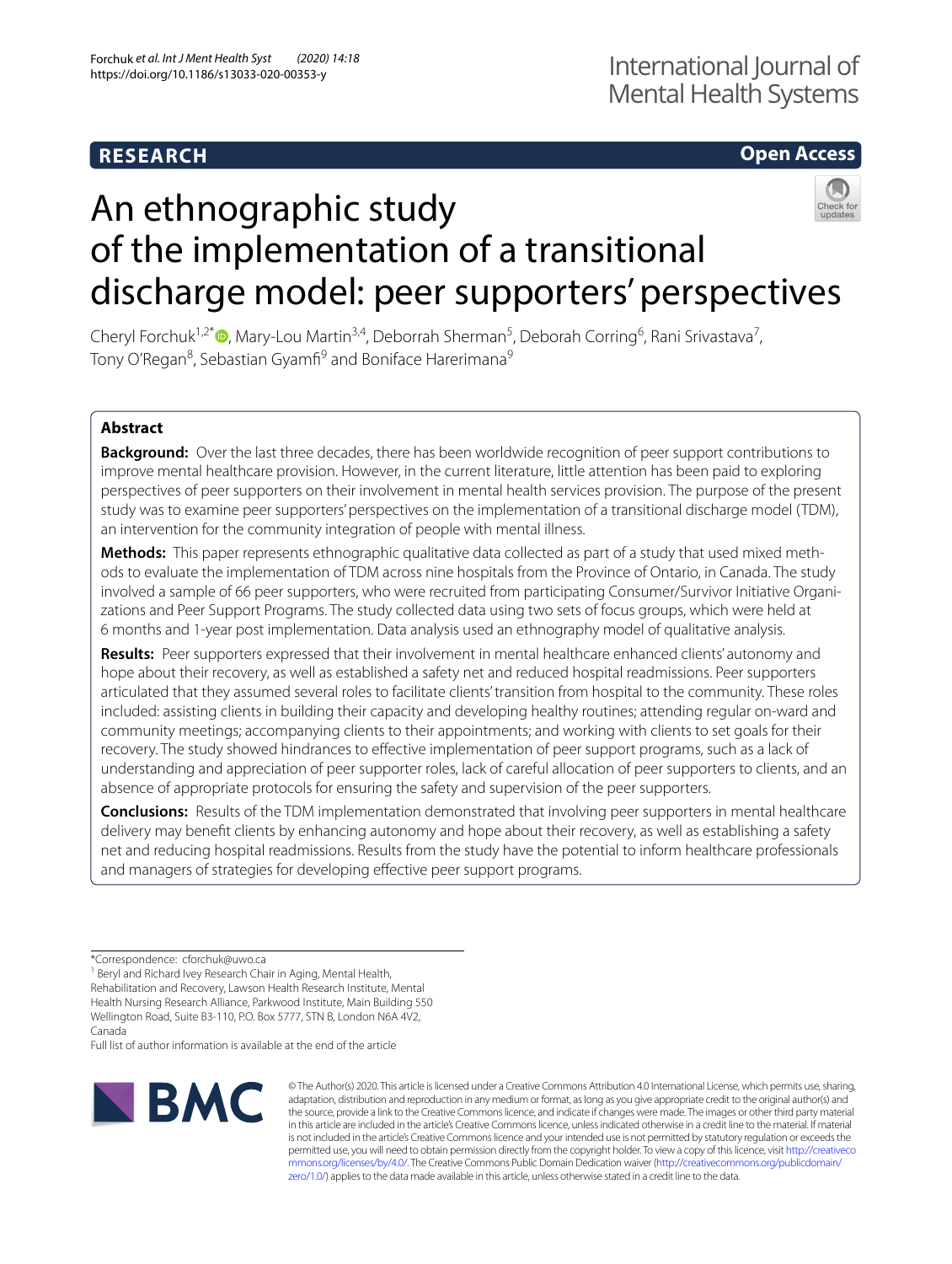# **RESEARCH**

# **Open Access**

# An ethnographic study of the implementation of a transitional discharge model: peer supporters' perspectives

Cheryl Forchuk<sup>1,2\*</sup>®[,](http://orcid.org/0000-0001-6936-3932) Mary-Lou Martin<sup>3,4</sup>, Deborrah Sherman<sup>5</sup>, Deborah Corring<sup>6</sup>, Rani Srivastava<sup>7</sup>, Tony O'Regan<sup>8</sup>, Sebastian Gyamfi<sup>9</sup> and Boniface Harerimana<sup>9</sup>

## **Abstract**

**Background:** Over the last three decades, there has been worldwide recognition of peer support contributions to improve mental healthcare provision. However, in the current literature, little attention has been paid to exploring perspectives of peer supporters on their involvement in mental health services provision. The purpose of the present study was to examine peer supporters' perspectives on the implementation of a transitional discharge model (TDM), an intervention for the community integration of people with mental illness.

Methods: This paper represents ethnographic qualitative data collected as part of a study that used mixed methods to evaluate the implementation of TDM across nine hospitals from the Province of Ontario, in Canada. The study involved a sample of 66 peer supporters, who were recruited from participating Consumer/Survivor Initiative Organizations and Peer Support Programs. The study collected data using two sets of focus groups, which were held at 6 months and 1-year post implementation. Data analysis used an ethnography model of qualitative analysis.

**Results:** Peer supporters expressed that their involvement in mental healthcare enhanced clients' autonomy and hope about their recovery, as well as established a safety net and reduced hospital readmissions. Peer supporters articulated that they assumed several roles to facilitate clients' transition from hospital to the community. These roles included: assisting clients in building their capacity and developing healthy routines; attending regular on-ward and community meetings; accompanying clients to their appointments; and working with clients to set goals for their recovery. The study showed hindrances to efective implementation of peer support programs, such as a lack of understanding and appreciation of peer supporter roles, lack of careful allocation of peer supporters to clients, and an absence of appropriate protocols for ensuring the safety and supervision of the peer supporters.

**Conclusions:** Results of the TDM implementation demonstrated that involving peer supporters in mental healthcare delivery may beneft clients by enhancing autonomy and hope about their recovery, as well as establishing a safety net and reducing hospital readmissions. Results from the study have the potential to inform healthcare professionals and managers of strategies for developing efective peer support programs.

Full list of author information is available at the end of the article



© The Author(s) 2020. This article is licensed under a Creative Commons Attribution 4.0 International License, which permits use, sharing, adaptation, distribution and reproduction in any medium or format, as long as you give appropriate credit to the original author(s) and the source, provide a link to the Creative Commons licence, and indicate if changes were made. The images or other third party material in this article are included in the article's Creative Commons licence, unless indicated otherwise in a credit line to the material. If material is not included in the article's Creative Commons licence and your intended use is not permitted by statutory regulation or exceeds the permitted use, you will need to obtain permission directly from the copyright holder. To view a copy of this licence, visit [http://creativeco](http://creativecommons.org/licenses/by/4.0/) [mmons.org/licenses/by/4.0/.](http://creativecommons.org/licenses/by/4.0/) The Creative Commons Public Domain Dedication waiver ([http://creativecommons.org/publicdomain/](http://creativecommons.org/publicdomain/zero/1.0/) [zero/1.0/\)](http://creativecommons.org/publicdomain/zero/1.0/) applies to the data made available in this article, unless otherwise stated in a credit line to the data.

<sup>\*</sup>Correspondence: cforchuk@uwo.ca

<sup>&</sup>lt;sup>1</sup> Beryl and Richard Ivey Research Chair in Aging, Mental Health,

Rehabilitation and Recovery, Lawson Health Research Institute, Mental Health Nursing Research Alliance, Parkwood Institute, Main Building 550 Wellington Road, Suite B3‑110, P.O. Box 5777, STN B, London N6A 4V2, Canada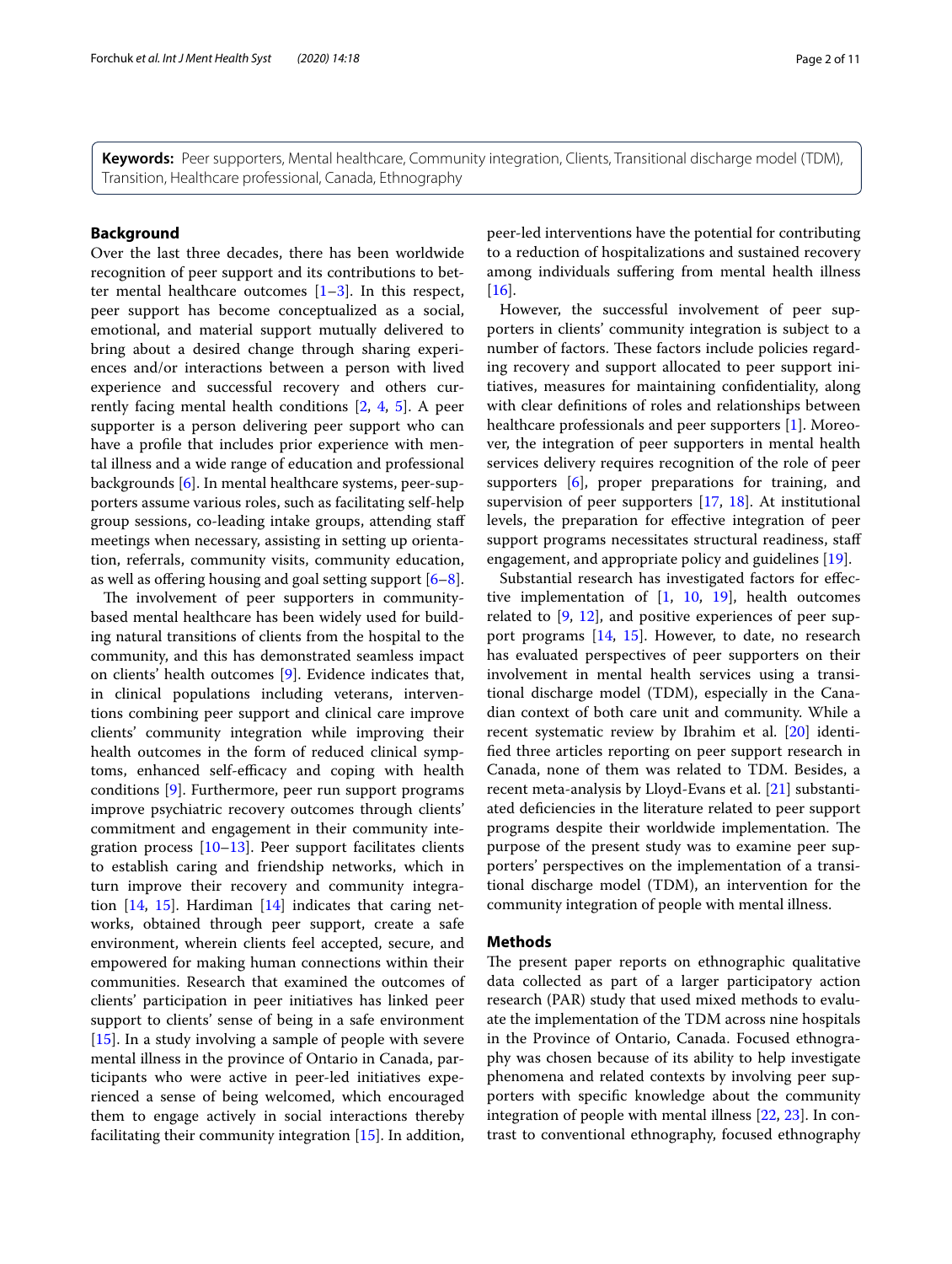**Keywords:** Peer supporters, Mental healthcare, Community integration, Clients, Transitional discharge model (TDM), Transition, Healthcare professional, Canada, Ethnography

## **Background**

Over the last three decades, there has been worldwide recognition of peer support and its contributions to better mental healthcare outcomes  $[1-3]$  $[1-3]$ . In this respect, peer support has become conceptualized as a social, emotional, and material support mutually delivered to bring about a desired change through sharing experiences and/or interactions between a person with lived experience and successful recovery and others currently facing mental health conditions [\[2](#page-9-2), [4](#page-9-3), [5](#page-9-4)]. A peer supporter is a person delivering peer support who can have a profle that includes prior experience with mental illness and a wide range of education and professional backgrounds [[6\]](#page-10-0). In mental healthcare systems, peer-supporters assume various roles, such as facilitating self-help group sessions, co-leading intake groups, attending staf meetings when necessary, assisting in setting up orientation, referrals, community visits, community education, as well as offering housing and goal setting support  $[6-8]$  $[6-8]$ .

The involvement of peer supporters in communitybased mental healthcare has been widely used for building natural transitions of clients from the hospital to the community, and this has demonstrated seamless impact on clients' health outcomes [\[9](#page-10-2)]. Evidence indicates that, in clinical populations including veterans, interventions combining peer support and clinical care improve clients' community integration while improving their health outcomes in the form of reduced clinical symptoms, enhanced self-efficacy and coping with health conditions [\[9](#page-10-2)]. Furthermore, peer run support programs improve psychiatric recovery outcomes through clients' commitment and engagement in their community integration process [[10–](#page-10-3)[13\]](#page-10-4). Peer support facilitates clients to establish caring and friendship networks, which in turn improve their recovery and community integration [[14](#page-10-5), [15\]](#page-10-6). Hardiman [[14\]](#page-10-5) indicates that caring networks, obtained through peer support, create a safe environment, wherein clients feel accepted, secure, and empowered for making human connections within their communities. Research that examined the outcomes of clients' participation in peer initiatives has linked peer support to clients' sense of being in a safe environment [[15\]](#page-10-6). In a study involving a sample of people with severe mental illness in the province of Ontario in Canada, participants who were active in peer-led initiatives experienced a sense of being welcomed, which encouraged them to engage actively in social interactions thereby facilitating their community integration [\[15\]](#page-10-6). In addition, peer-led interventions have the potential for contributing to a reduction of hospitalizations and sustained recovery among individuals sufering from mental health illness [[16\]](#page-10-7).

However, the successful involvement of peer supporters in clients' community integration is subject to a number of factors. These factors include policies regarding recovery and support allocated to peer support initiatives, measures for maintaining confdentiality, along with clear defnitions of roles and relationships between healthcare professionals and peer supporters [\[1](#page-9-0)]. Moreover, the integration of peer supporters in mental health services delivery requires recognition of the role of peer supporters [[6\]](#page-10-0), proper preparations for training, and supervision of peer supporters [\[17](#page-10-8), [18](#page-10-9)]. At institutional levels, the preparation for efective integration of peer support programs necessitates structural readiness, staf engagement, and appropriate policy and guidelines [\[19\]](#page-10-10).

Substantial research has investigated factors for efective implementation of  $[1, 10, 19]$  $[1, 10, 19]$  $[1, 10, 19]$  $[1, 10, 19]$  $[1, 10, 19]$ , health outcomes related to  $[9, 12]$  $[9, 12]$  $[9, 12]$  $[9, 12]$  $[9, 12]$ , and positive experiences of peer support programs [[14](#page-10-5), [15\]](#page-10-6). However, to date, no research has evaluated perspectives of peer supporters on their involvement in mental health services using a transitional discharge model (TDM), especially in the Canadian context of both care unit and community. While a recent systematic review by Ibrahim et al. [[20\]](#page-10-12) identifed three articles reporting on peer support research in Canada, none of them was related to TDM. Besides, a recent meta-analysis by Lloyd-Evans et al. [\[21](#page-10-13)] substantiated defciencies in the literature related to peer support programs despite their worldwide implementation. The purpose of the present study was to examine peer supporters' perspectives on the implementation of a transitional discharge model (TDM), an intervention for the community integration of people with mental illness.

## **Methods**

The present paper reports on ethnographic qualitative data collected as part of a larger participatory action research (PAR) study that used mixed methods to evaluate the implementation of the TDM across nine hospitals in the Province of Ontario, Canada. Focused ethnography was chosen because of its ability to help investigate phenomena and related contexts by involving peer supporters with specifc knowledge about the community integration of people with mental illness [\[22,](#page-10-14) [23\]](#page-10-15). In contrast to conventional ethnography, focused ethnography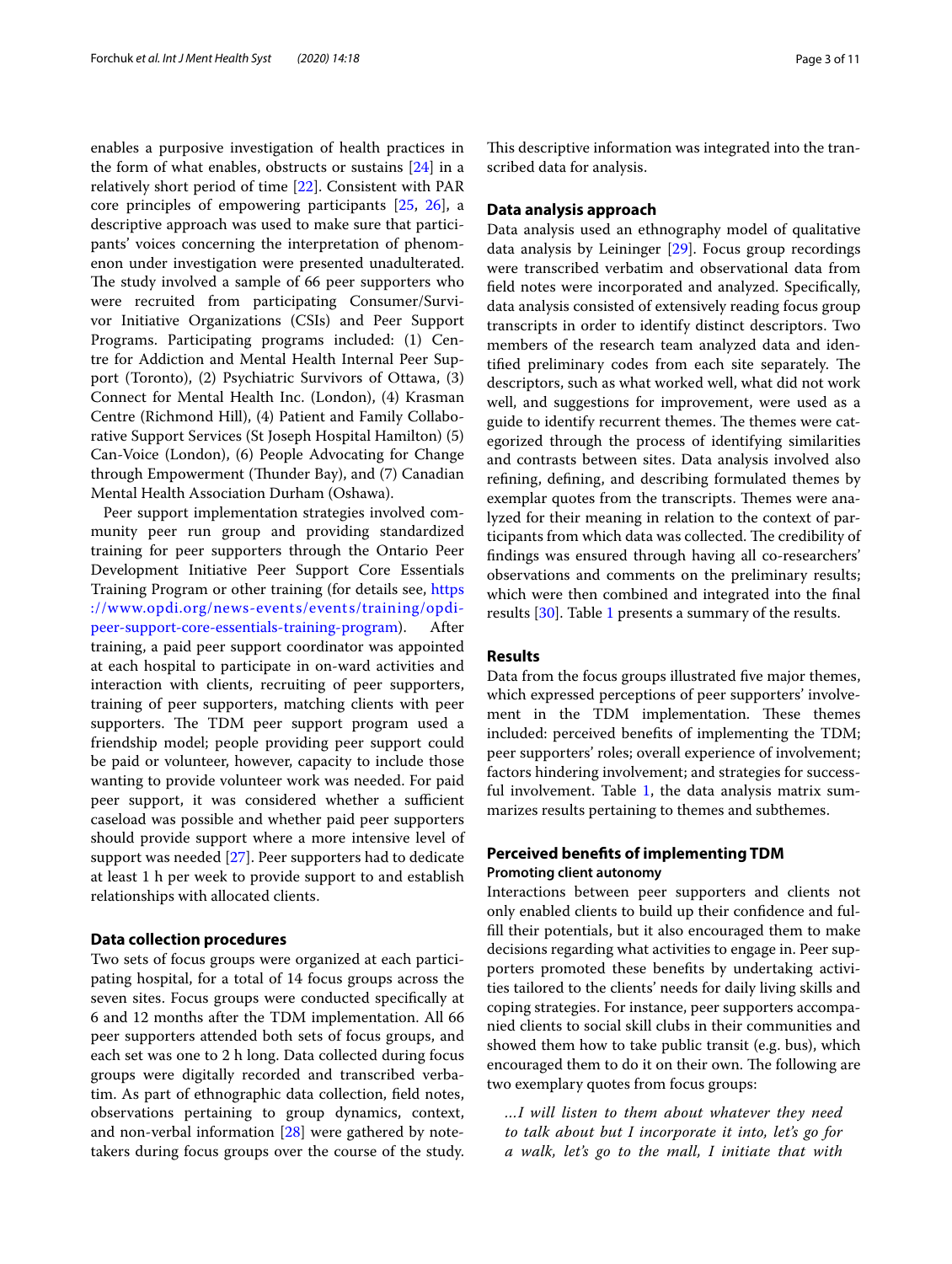enables a purposive investigation of health practices in the form of what enables, obstructs or sustains [[24\]](#page-10-16) in a relatively short period of time [\[22](#page-10-14)]. Consistent with PAR core principles of empowering participants [\[25](#page-10-17), [26](#page-10-18)], a descriptive approach was used to make sure that participants' voices concerning the interpretation of phenomenon under investigation were presented unadulterated. The study involved a sample of 66 peer supporters who were recruited from participating Consumer/Survivor Initiative Organizations (CSIs) and Peer Support Programs. Participating programs included: (1) Centre for Addiction and Mental Health Internal Peer Support (Toronto), (2) Psychiatric Survivors of Ottawa, (3) Connect for Mental Health Inc. (London), (4) Krasman Centre (Richmond Hill), (4) Patient and Family Collaborative Support Services (St Joseph Hospital Hamilton) (5) Can-Voice (London), (6) People Advocating for Change through Empowerment (Thunder Bay), and (7) Canadian Mental Health Association Durham (Oshawa).

Peer support implementation strategies involved community peer run group and providing standardized training for peer supporters through the Ontario Peer Development Initiative Peer Support Core Essentials Training Program or other training (for details see, [https](https://www.opdi.org/news-events/events/training/opdi-peer-support-core-essentials-training-program) [://www.opdi.org/news-events/events/training/opdi](https://www.opdi.org/news-events/events/training/opdi-peer-support-core-essentials-training-program)[peer-support-core-essentials-training-program](https://www.opdi.org/news-events/events/training/opdi-peer-support-core-essentials-training-program)). After training, a paid peer support coordinator was appointed at each hospital to participate in on-ward activities and interaction with clients, recruiting of peer supporters, training of peer supporters, matching clients with peer supporters. The TDM peer support program used a friendship model; people providing peer support could be paid or volunteer, however, capacity to include those wanting to provide volunteer work was needed. For paid peer support, it was considered whether a sufficient caseload was possible and whether paid peer supporters should provide support where a more intensive level of support was needed [[27\]](#page-10-19). Peer supporters had to dedicate at least 1 h per week to provide support to and establish relationships with allocated clients.

## **Data collection procedures**

Two sets of focus groups were organized at each participating hospital, for a total of 14 focus groups across the seven sites. Focus groups were conducted specifcally at 6 and 12 months after the TDM implementation. All 66 peer supporters attended both sets of focus groups, and each set was one to 2 h long. Data collected during focus groups were digitally recorded and transcribed verbatim. As part of ethnographic data collection, feld notes, observations pertaining to group dynamics, context, and non-verbal information [\[28](#page-10-20)] were gathered by notetakers during focus groups over the course of the study.

This descriptive information was integrated into the transcribed data for analysis.

#### **Data analysis approach**

Data analysis used an ethnography model of qualitative data analysis by Leininger [[29\]](#page-10-21). Focus group recordings were transcribed verbatim and observational data from feld notes were incorporated and analyzed. Specifcally, data analysis consisted of extensively reading focus group transcripts in order to identify distinct descriptors. Two members of the research team analyzed data and identified preliminary codes from each site separately. The descriptors, such as what worked well, what did not work well, and suggestions for improvement, were used as a guide to identify recurrent themes. The themes were categorized through the process of identifying similarities and contrasts between sites. Data analysis involved also refning, defning, and describing formulated themes by exemplar quotes from the transcripts. Themes were analyzed for their meaning in relation to the context of participants from which data was collected. The credibility of fndings was ensured through having all co-researchers' observations and comments on the preliminary results; which were then combined and integrated into the fnal results [\[30](#page-10-22)]. Table [1](#page-3-0) presents a summary of the results.

## **Results**

Data from the focus groups illustrated fve major themes, which expressed perceptions of peer supporters' involvement in the TDM implementation. These themes included: perceived benefts of implementing the TDM; peer supporters' roles; overall experience of involvement; factors hindering involvement; and strategies for successful involvement. Table [1](#page-3-0), the data analysis matrix summarizes results pertaining to themes and subthemes.

## **Perceived benefts of implementing TDM Promoting client autonomy**

Interactions between peer supporters and clients not only enabled clients to build up their confdence and fulfll their potentials, but it also encouraged them to make decisions regarding what activities to engage in. Peer supporters promoted these benefts by undertaking activities tailored to the clients' needs for daily living skills and coping strategies. For instance, peer supporters accompanied clients to social skill clubs in their communities and showed them how to take public transit (e.g. bus), which encouraged them to do it on their own. The following are two exemplary quotes from focus groups:

*…I will listen to them about whatever they need to talk about but I incorporate it into, let's go for a walk, let's go to the mall, I initiate that with*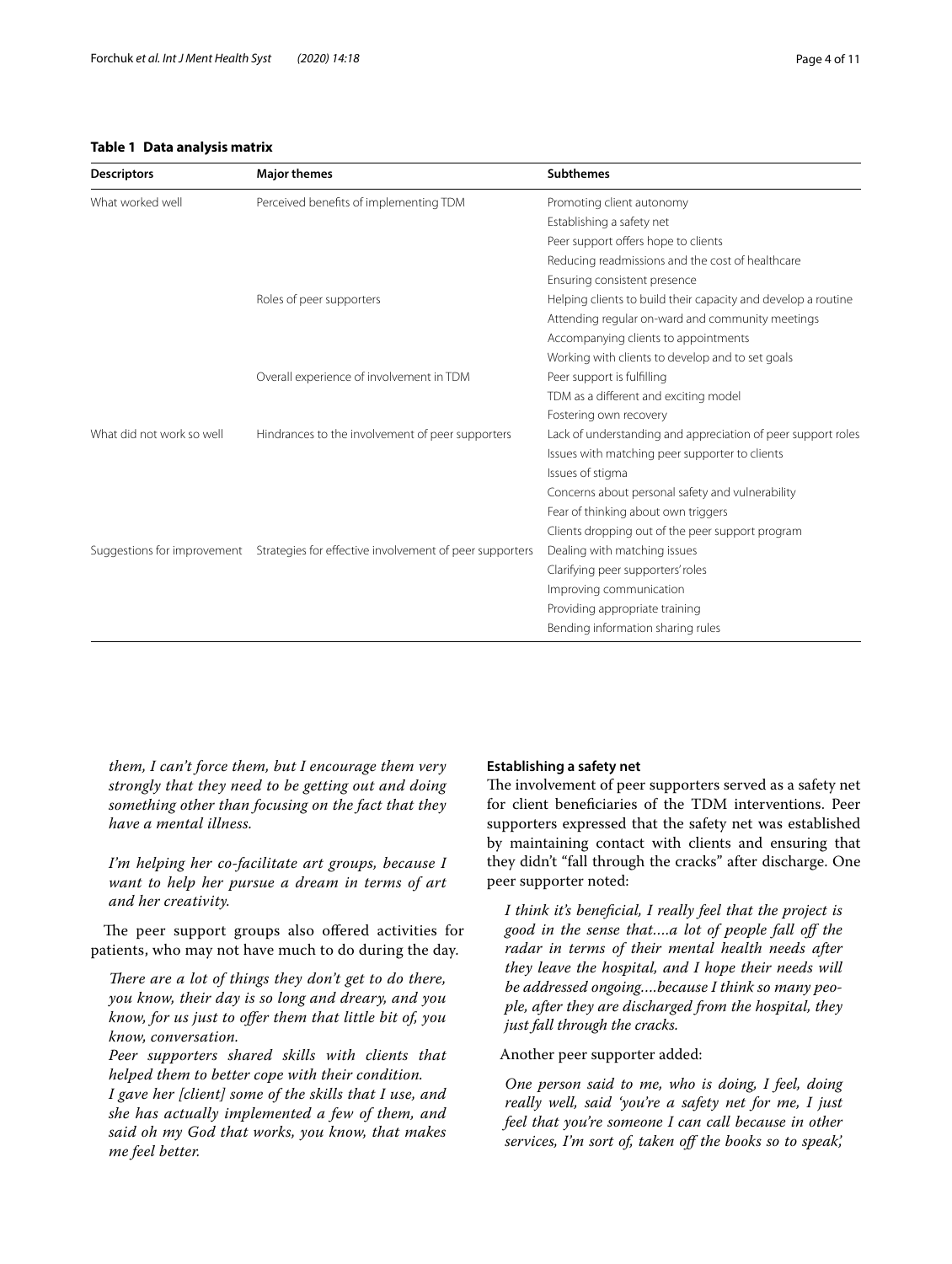## <span id="page-3-0"></span>**Table 1 Data analysis matrix**

| <b>Descriptors</b>        | <b>Major themes</b>                                                                 | <b>Subthemes</b>                                              |
|---------------------------|-------------------------------------------------------------------------------------|---------------------------------------------------------------|
| What worked well          | Perceived benefits of implementing TDM                                              | Promoting client autonomy                                     |
|                           |                                                                                     | Establishing a safety net                                     |
|                           |                                                                                     | Peer support offers hope to clients                           |
|                           |                                                                                     | Reducing readmissions and the cost of healthcare              |
|                           |                                                                                     | Ensuring consistent presence                                  |
|                           | Roles of peer supporters                                                            | Helping clients to build their capacity and develop a routine |
|                           |                                                                                     | Attending regular on-ward and community meetings              |
|                           |                                                                                     | Accompanying clients to appointments                          |
|                           |                                                                                     | Working with clients to develop and to set goals              |
|                           | Overall experience of involvement in TDM                                            | Peer support is fulfilling                                    |
|                           |                                                                                     | TDM as a different and exciting model                         |
|                           |                                                                                     | Fostering own recovery                                        |
| What did not work so well | Hindrances to the involvement of peer supporters                                    | Lack of understanding and appreciation of peer support roles  |
|                           |                                                                                     | Issues with matching peer supporter to clients                |
|                           |                                                                                     | Issues of stigma                                              |
|                           |                                                                                     | Concerns about personal safety and vulnerability              |
|                           |                                                                                     | Fear of thinking about own triggers                           |
|                           |                                                                                     | Clients dropping out of the peer support program              |
|                           | Suggestions for improvement Strategies for effective involvement of peer supporters | Dealing with matching issues                                  |
|                           |                                                                                     | Clarifying peer supporters' roles                             |
|                           |                                                                                     | Improving communication                                       |
|                           |                                                                                     | Providing appropriate training                                |
|                           |                                                                                     | Bending information sharing rules                             |

*them, I can't force them, but I encourage them very strongly that they need to be getting out and doing something other than focusing on the fact that they have a mental illness.*

*I'm helping her co-facilitate art groups, because I want to help her pursue a dream in terms of art and her creativity.*

The peer support groups also offered activities for patients, who may not have much to do during the day.

*There are a lot of things they don't get to do there, you know, their day is so long and dreary, and you know, for us just to ofer them that little bit of, you know, conversation.*

*Peer supporters shared skills with clients that helped them to better cope with their condition.*

*I gave her [client] some of the skills that I use, and she has actually implemented a few of them, and said oh my God that works, you know, that makes me feel better.*

## **Establishing a safety net**

The involvement of peer supporters served as a safety net for client benefciaries of the TDM interventions. Peer supporters expressed that the safety net was established by maintaining contact with clients and ensuring that they didn't "fall through the cracks" after discharge. One peer supporter noted:

*I think it's benefcial, I really feel that the project is good in the sense that….a lot of people fall of the radar in terms of their mental health needs after they leave the hospital, and I hope their needs will be addressed ongoing….because I think so many people, after they are discharged from the hospital, they just fall through the cracks.*

## Another peer supporter added:

*One person said to me, who is doing, I feel, doing really well, said 'you're a safety net for me, I just feel that you're someone I can call because in other*  services, I'm sort of, taken off the books so to speak',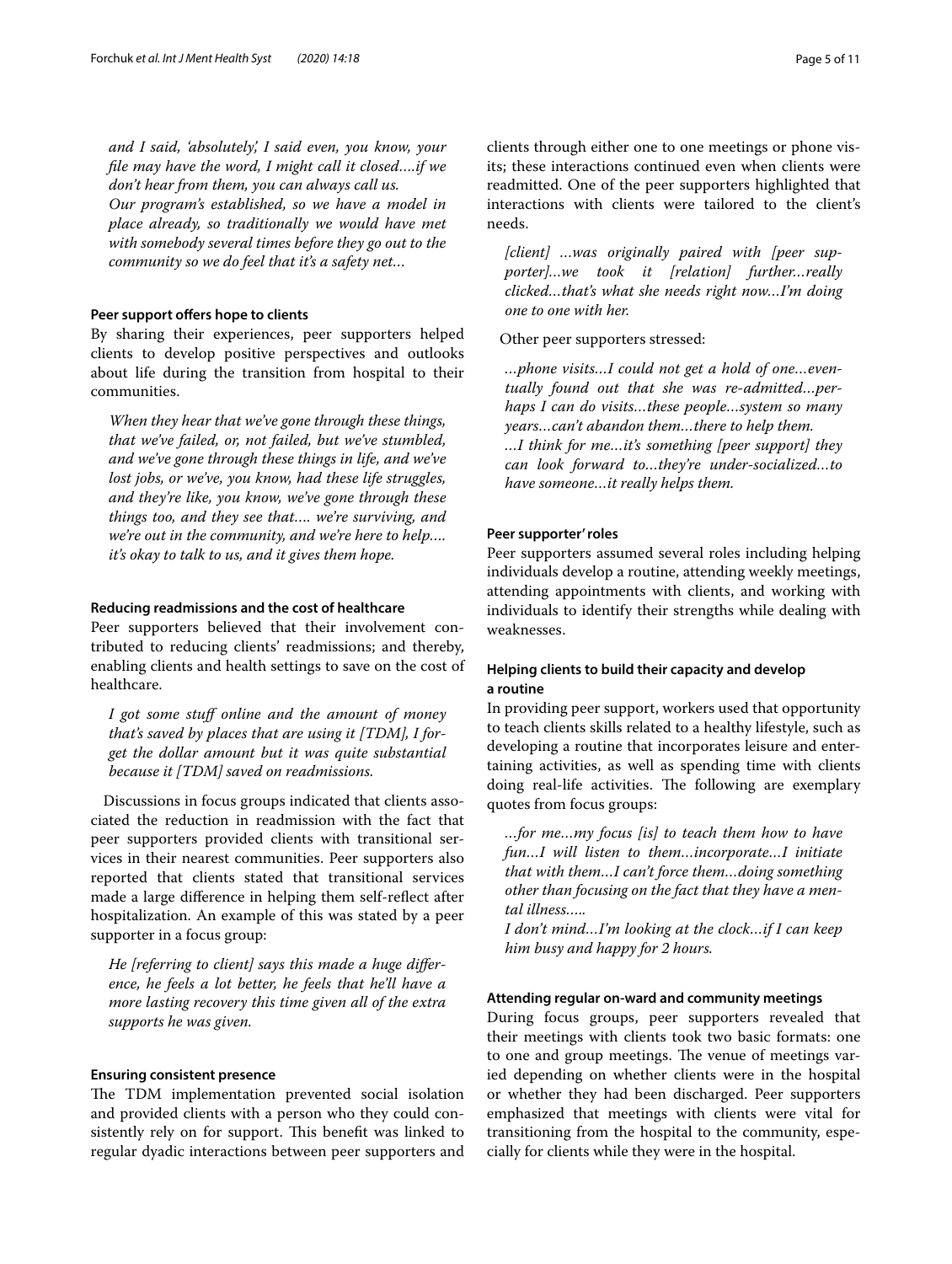*and I said, 'absolutely', I said even, you know, your fle may have the word, I might call it closed….if we don't hear from them, you can always call us. Our program's established, so we have a model in place already, so traditionally we would have met with somebody several times before they go out to the community so we do feel that it's a safety net…*

#### Peer support offers hope to clients

By sharing their experiences, peer supporters helped clients to develop positive perspectives and outlooks about life during the transition from hospital to their communities.

*When they hear that we've gone through these things, that we've failed, or, not failed, but we've stumbled, and we've gone through these things in life, and we've lost jobs, or we've, you know, had these life struggles, and they're like, you know, we've gone through these things too, and they see that…. we're surviving, and we're out in the community, and we're here to help…. it's okay to talk to us, and it gives them hope.*

#### **Reducing readmissions and the cost of healthcare**

Peer supporters believed that their involvement contributed to reducing clients' readmissions; and thereby, enabling clients and health settings to save on the cost of healthcare.

*I got some stuf online and the amount of money that's saved by places that are using it [TDM], I forget the dollar amount but it was quite substantial because it [TDM] saved on readmissions.*

Discussions in focus groups indicated that clients associated the reduction in readmission with the fact that peer supporters provided clients with transitional services in their nearest communities. Peer supporters also reported that clients stated that transitional services made a large diference in helping them self-refect after hospitalization. An example of this was stated by a peer supporter in a focus group:

*He [referring to client] says this made a huge diference, he feels a lot better, he feels that he'll have a more lasting recovery this time given all of the extra supports he was given.*

#### **Ensuring consistent presence**

The TDM implementation prevented social isolation and provided clients with a person who they could consistently rely on for support. This benefit was linked to regular dyadic interactions between peer supporters and clients through either one to one meetings or phone visits; these interactions continued even when clients were readmitted. One of the peer supporters highlighted that interactions with clients were tailored to the client's needs.

*[client] …was originally paired with [peer supporter]…we took it [relation] further…really clicked…that's what she needs right now…I'm doing one to one with her.*

Other peer supporters stressed:

*…phone visits…I could not get a hold of one…eventually found out that she was re-admitted…perhaps I can do visits…these people…system so many years…can't abandon them…there to help them. …I think for me…it's something [peer support] they can look forward to…they're under-socialized…to have someone…it really helps them.*

#### **Peer supporter' roles**

Peer supporters assumed several roles including helping individuals develop a routine, attending weekly meetings, attending appointments with clients, and working with individuals to identify their strengths while dealing with weaknesses.

## **Helping clients to build their capacity and develop a routine**

In providing peer support, workers used that opportunity to teach clients skills related to a healthy lifestyle, such as developing a routine that incorporates leisure and entertaining activities, as well as spending time with clients doing real-life activities. The following are exemplary quotes from focus groups:

*…for me…my focus [is] to teach them how to have fun…I will listen to them…incorporate…I initiate that with them…I can't force them…doing something other than focusing on the fact that they have a mental illness…..*

*I don't mind…I'm looking at the clock…if I can keep him busy and happy for 2 hours.*

#### **Attending regular on‑ward and community meetings**

During focus groups, peer supporters revealed that their meetings with clients took two basic formats: one to one and group meetings. The venue of meetings varied depending on whether clients were in the hospital or whether they had been discharged. Peer supporters emphasized that meetings with clients were vital for transitioning from the hospital to the community, especially for clients while they were in the hospital.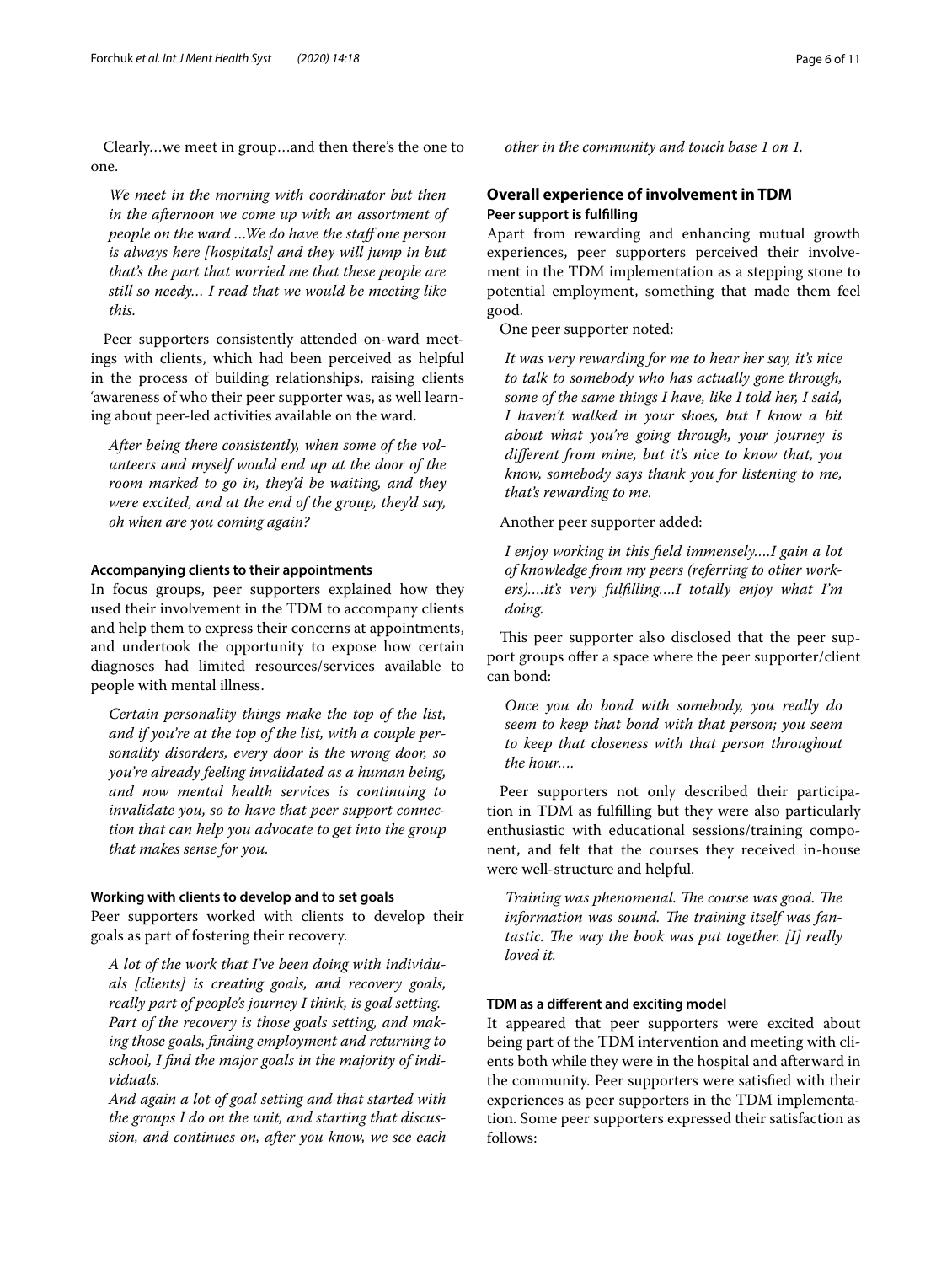Clearly…we meet in group…and then there's the one to one.

*We meet in the morning with coordinator but then in the afternoon we come up with an assortment of people on the ward …We do have the staf one person is always here [hospitals] and they will jump in but that's the part that worried me that these people are still so needy… I read that we would be meeting like this.*

Peer supporters consistently attended on-ward meetings with clients, which had been perceived as helpful in the process of building relationships, raising clients 'awareness of who their peer supporter was, as well learning about peer-led activities available on the ward.

*After being there consistently, when some of the volunteers and myself would end up at the door of the room marked to go in, they'd be waiting, and they were excited, and at the end of the group, they'd say, oh when are you coming again?*

#### **Accompanying clients to their appointments**

In focus groups, peer supporters explained how they used their involvement in the TDM to accompany clients and help them to express their concerns at appointments, and undertook the opportunity to expose how certain diagnoses had limited resources/services available to people with mental illness.

*Certain personality things make the top of the list, and if you're at the top of the list, with a couple personality disorders, every door is the wrong door, so you're already feeling invalidated as a human being, and now mental health services is continuing to invalidate you, so to have that peer support connection that can help you advocate to get into the group that makes sense for you.*

#### **Working with clients to develop and to set goals**

Peer supporters worked with clients to develop their goals as part of fostering their recovery.

*A lot of the work that I've been doing with individuals [clients] is creating goals, and recovery goals, really part of people's journey I think, is goal setting. Part of the recovery is those goals setting, and making those goals, fnding employment and returning to school, I fnd the major goals in the majority of individuals.*

*And again a lot of goal setting and that started with the groups I do on the unit, and starting that discussion, and continues on, after you know, we see each*  *other in the community and touch base 1 on 1.*

## **Overall experience of involvement in TDM Peer support is fulflling**

Apart from rewarding and enhancing mutual growth experiences, peer supporters perceived their involvement in the TDM implementation as a stepping stone to potential employment, something that made them feel good.

One peer supporter noted:

*It was very rewarding for me to hear her say, it's nice to talk to somebody who has actually gone through, some of the same things I have, like I told her, I said, I haven't walked in your shoes, but I know a bit about what you're going through, your journey is diferent from mine, but it's nice to know that, you know, somebody says thank you for listening to me, that's rewarding to me.*

Another peer supporter added:

*I enjoy working in this feld immensely….I gain a lot of knowledge from my peers (referring to other workers)….it's very fulflling….I totally enjoy what I'm doing.*

This peer supporter also disclosed that the peer support groups offer a space where the peer supporter/client can bond:

*Once you do bond with somebody, you really do seem to keep that bond with that person; you seem to keep that closeness with that person throughout the hour….*

Peer supporters not only described their participation in TDM as fulflling but they were also particularly enthusiastic with educational sessions/training component, and felt that the courses they received in-house were well-structure and helpful.

Training was phenomenal. The course was good. The information was sound. The training itself was fantastic. The way the book was put together. [I] really *loved it.*

## **TDM as a diferent and exciting model**

It appeared that peer supporters were excited about being part of the TDM intervention and meeting with clients both while they were in the hospital and afterward in the community. Peer supporters were satisfed with their experiences as peer supporters in the TDM implementation. Some peer supporters expressed their satisfaction as follows: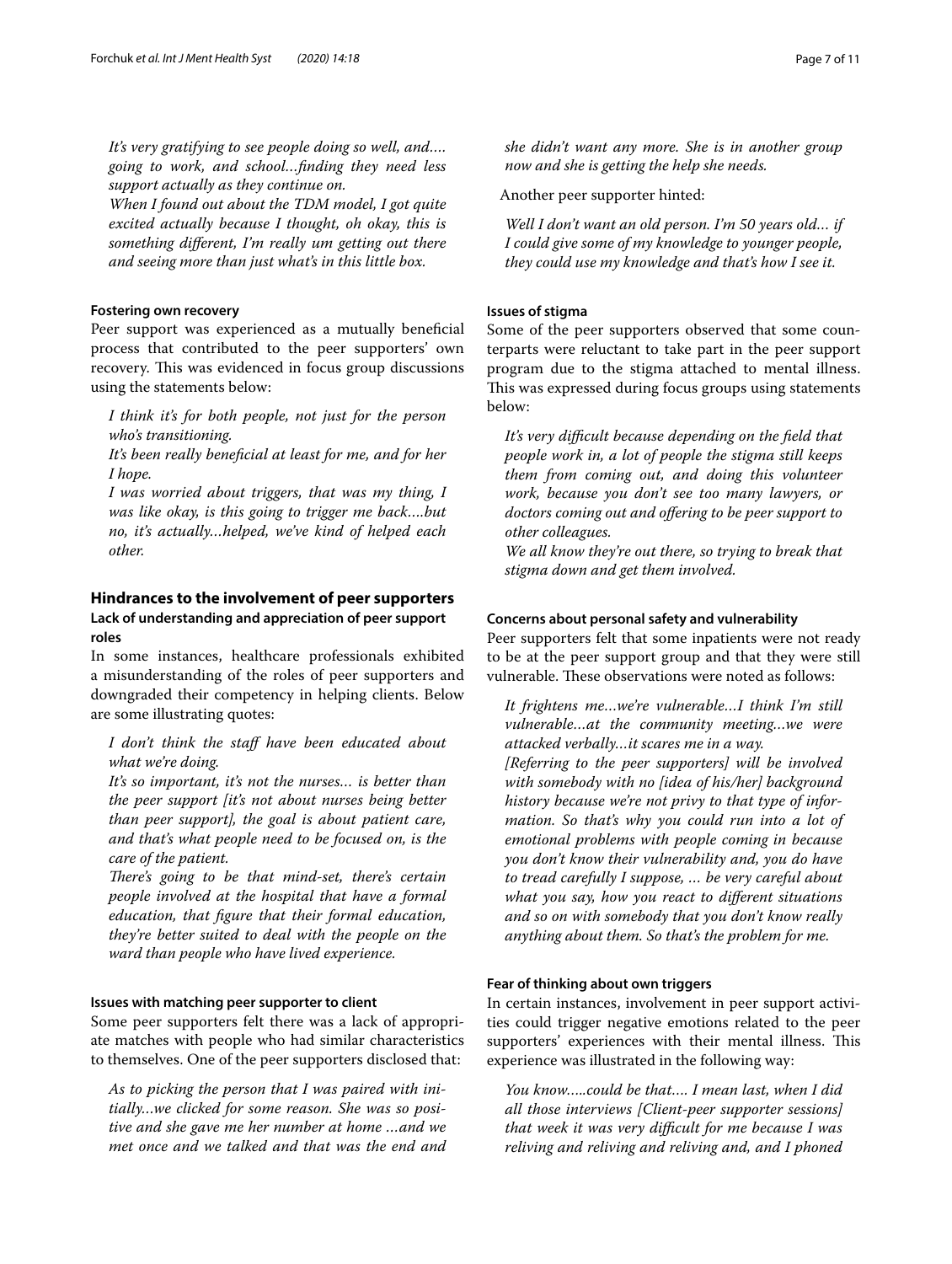*It's very gratifying to see people doing so well, and…. going to work, and school…fnding they need less support actually as they continue on.*

*When I found out about the TDM model, I got quite excited actually because I thought, oh okay, this is something diferent, I'm really um getting out there and seeing more than just what's in this little box.*

#### **Fostering own recovery**

Peer support was experienced as a mutually beneficial process that contributed to the peer supporters' own recovery. This was evidenced in focus group discussions using the statements below:

*I think it's for both people, not just for the person who's transitioning.*

It's been really beneficial at least for me, and for her *I hope.*

*I was worried about triggers, that was my thing, I was like okay, is this going to trigger me back….but no, it's actually…helped, we've kind of helped each other.*

## **Hindrances to the involvement of peer supporters Lack of understanding and appreciation of peer support roles**

In some instances, healthcare professionals exhibited a misunderstanding of the roles of peer supporters and downgraded their competency in helping clients. Below are some illustrating quotes:

*I don't think the staf have been educated about what we're doing.*

*It's so important, it's not the nurses… is better than the peer support [it's not about nurses being better than peer support], the goal is about patient care, and that's what people need to be focused on, is the care of the patient.*

*There's going to be that mind-set, there's certain people involved at the hospital that have a formal education, that fgure that their formal education, they're better suited to deal with the people on the ward than people who have lived experience.*

## **Issues with matching peer supporter to client**

Some peer supporters felt there was a lack of appropriate matches with people who had similar characteristics to themselves. One of the peer supporters disclosed that:

*As to picking the person that I was paired with initially…we clicked for some reason. She was so positive and she gave me her number at home …and we met once and we talked and that was the end and*  *she didn't want any more. She is in another group now and she is getting the help she needs.*

Another peer supporter hinted:

*Well I don't want an old person. I'm 50 years old… if I could give some of my knowledge to younger people, they could use my knowledge and that's how I see it.*

## **Issues of stigma**

Some of the peer supporters observed that some counterparts were reluctant to take part in the peer support program due to the stigma attached to mental illness. This was expressed during focus groups using statements below:

*It's very difcult because depending on the feld that people work in, a lot of people the stigma still keeps them from coming out, and doing this volunteer work, because you don't see too many lawyers, or doctors coming out and ofering to be peer support to other colleagues.*

*We all know they're out there, so trying to break that stigma down and get them involved.*

## **Concerns about personal safety and vulnerability**

Peer supporters felt that some inpatients were not ready to be at the peer support group and that they were still vulnerable. These observations were noted as follows:

*It frightens me…we're vulnerable…I think I'm still vulnerable…at the community meeting…we were attacked verbally…it scares me in a way. [Referring to the peer supporters] will be involved with somebody with no [idea of his/her] background history because we're not privy to that type of information. So that's why you could run into a lot of emotional problems with people coming in because you don't know their vulnerability and, you do have to tread carefully I suppose, … be very careful about what you say, how you react to diferent situations and so on with somebody that you don't know really anything about them. So that's the problem for me.*

## **Fear of thinking about own triggers**

In certain instances, involvement in peer support activities could trigger negative emotions related to the peer supporters' experiences with their mental illness. This experience was illustrated in the following way:

*You know…..could be that…. I mean last, when I did all those interviews [Client-peer supporter sessions] that week it was very difcult for me because I was reliving and reliving and reliving and, and I phoned*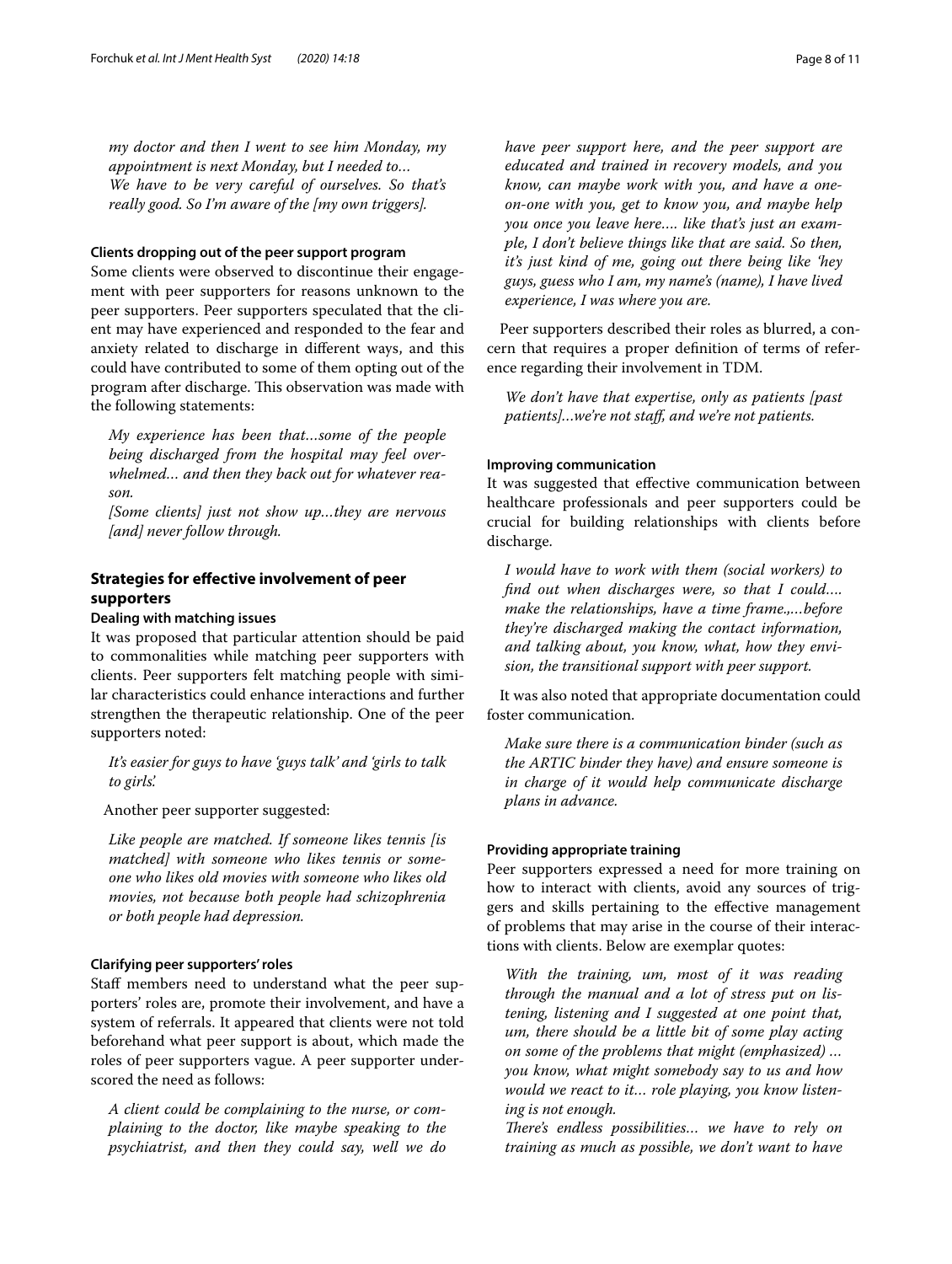*my doctor and then I went to see him Monday, my appointment is next Monday, but I needed to… We have to be very careful of ourselves. So that's really good. So I'm aware of the [my own triggers].*

## **Clients dropping out of the peer support program**

Some clients were observed to discontinue their engagement with peer supporters for reasons unknown to the peer supporters. Peer supporters speculated that the client may have experienced and responded to the fear and anxiety related to discharge in diferent ways, and this could have contributed to some of them opting out of the program after discharge. This observation was made with the following statements:

*My experience has been that…some of the people being discharged from the hospital may feel overwhelmed… and then they back out for whatever reason.*

*[Some clients] just not show up…they are nervous [and] never follow through.*

## **Strategies for efective involvement of peer supporters**

#### **Dealing with matching issues**

It was proposed that particular attention should be paid to commonalities while matching peer supporters with clients. Peer supporters felt matching people with similar characteristics could enhance interactions and further strengthen the therapeutic relationship. One of the peer supporters noted:

*It's easier for guys to have 'guys talk' and 'girls to talk to girls'.*

Another peer supporter suggested:

*Like people are matched. If someone likes tennis [is matched] with someone who likes tennis or someone who likes old movies with someone who likes old movies, not because both people had schizophrenia or both people had depression.*

## **Clarifying peer supporters' roles**

Staff members need to understand what the peer supporters' roles are, promote their involvement, and have a system of referrals. It appeared that clients were not told beforehand what peer support is about, which made the roles of peer supporters vague. A peer supporter underscored the need as follows:

*A client could be complaining to the nurse, or complaining to the doctor, like maybe speaking to the psychiatrist, and then they could say, well we do* 

*have peer support here, and the peer support are educated and trained in recovery models, and you know, can maybe work with you, and have a oneon-one with you, get to know you, and maybe help you once you leave here…. like that's just an example, I don't believe things like that are said. So then, it's just kind of me, going out there being like 'hey guys, guess who I am, my name's (name), I have lived experience, I was where you are.*

Peer supporters described their roles as blurred, a concern that requires a proper defnition of terms of reference regarding their involvement in TDM.

*We don't have that expertise, only as patients [past patients]…we're not staf, and we're not patients.*

#### **Improving communication**

It was suggested that efective communication between healthcare professionals and peer supporters could be crucial for building relationships with clients before discharge.

*I would have to work with them (social workers) to fnd out when discharges were, so that I could…. make the relationships, have a time frame.,…before they're discharged making the contact information, and talking about, you know, what, how they envision, the transitional support with peer support.*

It was also noted that appropriate documentation could foster communication.

*Make sure there is a communication binder (such as the ARTIC binder they have) and ensure someone is in charge of it would help communicate discharge plans in advance.*

#### **Providing appropriate training**

Peer supporters expressed a need for more training on how to interact with clients, avoid any sources of triggers and skills pertaining to the efective management of problems that may arise in the course of their interactions with clients. Below are exemplar quotes:

*With the training, um, most of it was reading through the manual and a lot of stress put on listening, listening and I suggested at one point that, um, there should be a little bit of some play acting on some of the problems that might (emphasized) … you know, what might somebody say to us and how would we react to it… role playing, you know listening is not enough.*

*There's endless possibilities... we have to rely on training as much as possible, we don't want to have*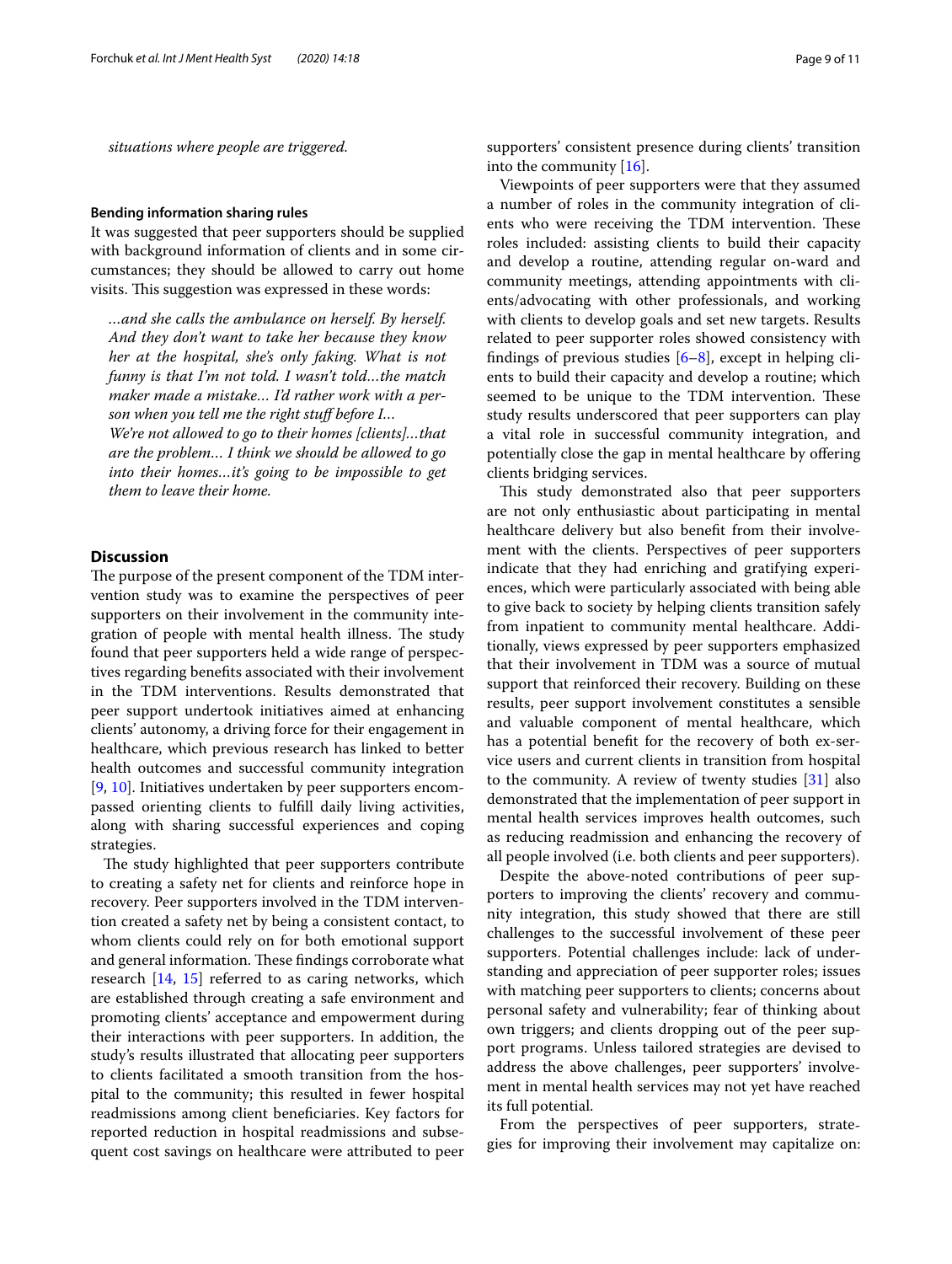*situations where people are triggered.*

#### **Bending information sharing rules**

It was suggested that peer supporters should be supplied with background information of clients and in some circumstances; they should be allowed to carry out home visits. This suggestion was expressed in these words:

*…and she calls the ambulance on herself. By herself. And they don't want to take her because they know her at the hospital, she's only faking. What is not funny is that I'm not told. I wasn't told…the match maker made a mistake… I'd rather work with a person when you tell me the right stuf before I…*

*We're not allowed to go to their homes [clients]…that are the problem… I think we should be allowed to go into their homes…it's going to be impossible to get them to leave their home.*

## **Discussion**

The purpose of the present component of the TDM intervention study was to examine the perspectives of peer supporters on their involvement in the community integration of people with mental health illness. The study found that peer supporters held a wide range of perspectives regarding benefts associated with their involvement in the TDM interventions. Results demonstrated that peer support undertook initiatives aimed at enhancing clients' autonomy, a driving force for their engagement in healthcare, which previous research has linked to better health outcomes and successful community integration [[9,](#page-10-2) [10](#page-10-3)]. Initiatives undertaken by peer supporters encompassed orienting clients to fulfll daily living activities, along with sharing successful experiences and coping strategies.

The study highlighted that peer supporters contribute to creating a safety net for clients and reinforce hope in recovery. Peer supporters involved in the TDM intervention created a safety net by being a consistent contact, to whom clients could rely on for both emotional support and general information. These findings corroborate what research [\[14](#page-10-5), [15](#page-10-6)] referred to as caring networks, which are established through creating a safe environment and promoting clients' acceptance and empowerment during their interactions with peer supporters. In addition, the study's results illustrated that allocating peer supporters to clients facilitated a smooth transition from the hospital to the community; this resulted in fewer hospital readmissions among client benefciaries. Key factors for reported reduction in hospital readmissions and subsequent cost savings on healthcare were attributed to peer supporters' consistent presence during clients' transition into the community [\[16](#page-10-7)].

Viewpoints of peer supporters were that they assumed a number of roles in the community integration of clients who were receiving the TDM intervention. These roles included: assisting clients to build their capacity and develop a routine, attending regular on-ward and community meetings, attending appointments with clients/advocating with other professionals, and working with clients to develop goals and set new targets. Results related to peer supporter roles showed consistency with findings of previous studies  $[6-8]$  $[6-8]$ , except in helping clients to build their capacity and develop a routine; which seemed to be unique to the TDM intervention. These study results underscored that peer supporters can play a vital role in successful community integration, and potentially close the gap in mental healthcare by ofering clients bridging services.

This study demonstrated also that peer supporters are not only enthusiastic about participating in mental healthcare delivery but also beneft from their involvement with the clients. Perspectives of peer supporters indicate that they had enriching and gratifying experiences, which were particularly associated with being able to give back to society by helping clients transition safely from inpatient to community mental healthcare. Additionally, views expressed by peer supporters emphasized that their involvement in TDM was a source of mutual support that reinforced their recovery. Building on these results, peer support involvement constitutes a sensible and valuable component of mental healthcare, which has a potential beneft for the recovery of both ex-service users and current clients in transition from hospital to the community. A review of twenty studies [[31\]](#page-10-23) also demonstrated that the implementation of peer support in mental health services improves health outcomes, such as reducing readmission and enhancing the recovery of all people involved (i.e. both clients and peer supporters).

Despite the above-noted contributions of peer supporters to improving the clients' recovery and community integration, this study showed that there are still challenges to the successful involvement of these peer supporters. Potential challenges include: lack of understanding and appreciation of peer supporter roles; issues with matching peer supporters to clients; concerns about personal safety and vulnerability; fear of thinking about own triggers; and clients dropping out of the peer support programs. Unless tailored strategies are devised to address the above challenges, peer supporters' involvement in mental health services may not yet have reached its full potential.

From the perspectives of peer supporters, strategies for improving their involvement may capitalize on: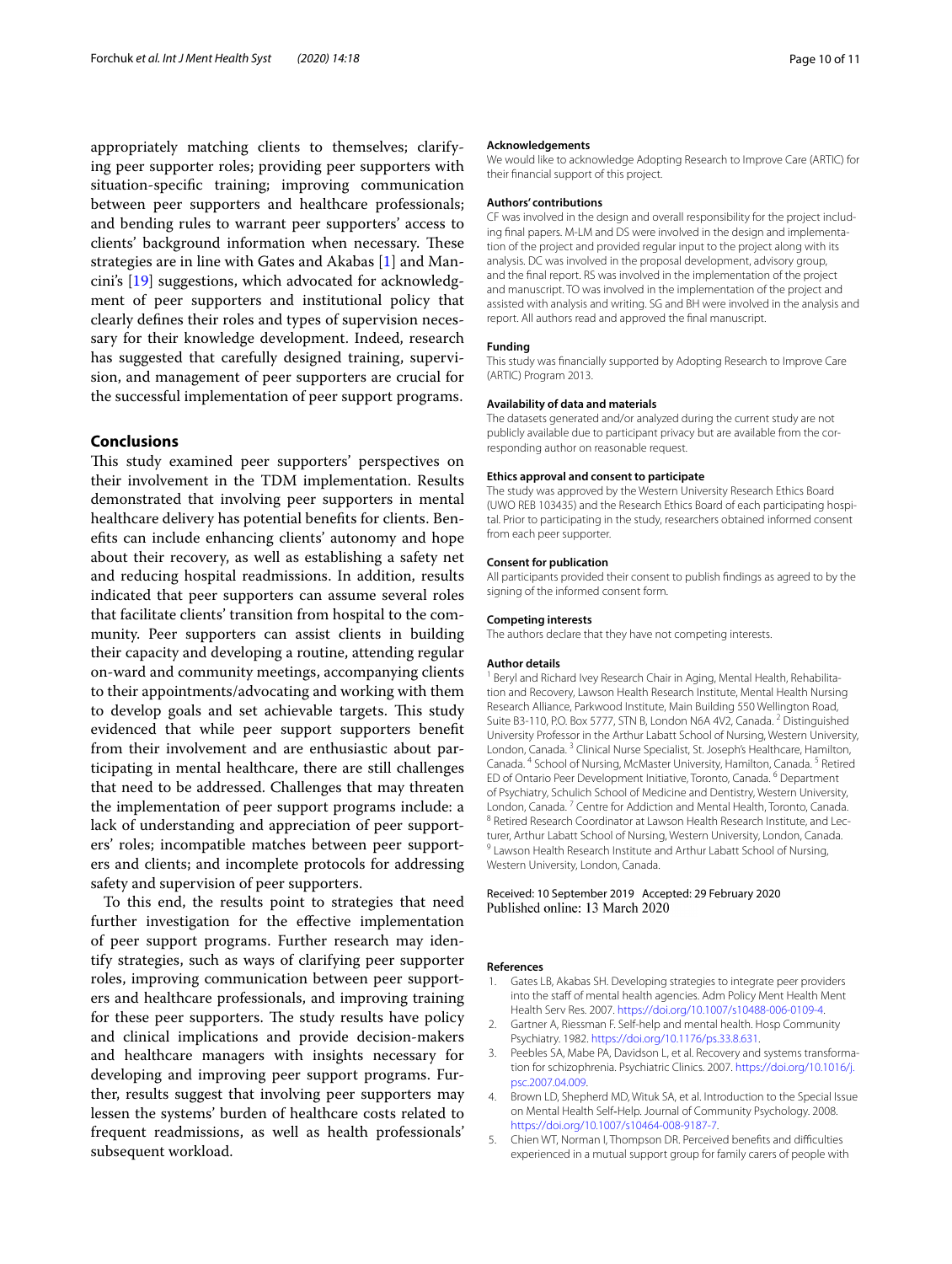appropriately matching clients to themselves; clarifying peer supporter roles; providing peer supporters with situation-specifc training; improving communication between peer supporters and healthcare professionals; and bending rules to warrant peer supporters' access to clients' background information when necessary. These strategies are in line with Gates and Akabas [[1\]](#page-9-0) and Mancini's [\[19\]](#page-10-10) suggestions, which advocated for acknowledgment of peer supporters and institutional policy that clearly defnes their roles and types of supervision necessary for their knowledge development. Indeed, research has suggested that carefully designed training, supervision, and management of peer supporters are crucial for the successful implementation of peer support programs.

## **Conclusions**

This study examined peer supporters' perspectives on their involvement in the TDM implementation. Results demonstrated that involving peer supporters in mental healthcare delivery has potential benefts for clients. Benefts can include enhancing clients' autonomy and hope about their recovery, as well as establishing a safety net and reducing hospital readmissions. In addition, results indicated that peer supporters can assume several roles that facilitate clients' transition from hospital to the community. Peer supporters can assist clients in building their capacity and developing a routine, attending regular on-ward and community meetings, accompanying clients to their appointments/advocating and working with them to develop goals and set achievable targets. This study evidenced that while peer support supporters beneft from their involvement and are enthusiastic about participating in mental healthcare, there are still challenges that need to be addressed. Challenges that may threaten the implementation of peer support programs include: a lack of understanding and appreciation of peer supporters' roles; incompatible matches between peer supporters and clients; and incomplete protocols for addressing safety and supervision of peer supporters.

To this end, the results point to strategies that need further investigation for the efective implementation of peer support programs. Further research may identify strategies, such as ways of clarifying peer supporter roles, improving communication between peer supporters and healthcare professionals, and improving training for these peer supporters. The study results have policy and clinical implications and provide decision-makers and healthcare managers with insights necessary for developing and improving peer support programs. Further, results suggest that involving peer supporters may lessen the systems' burden of healthcare costs related to frequent readmissions, as well as health professionals' subsequent workload.

#### **Acknowledgements**

We would like to acknowledge Adopting Research to Improve Care (ARTIC) for their fnancial support of this project.

#### **Authors' contributions**

CF was involved in the design and overall responsibility for the project including final papers. M-LM and DS were involved in the design and implementation of the project and provided regular input to the project along with its analysis. DC was involved in the proposal development, advisory group, and the fnal report. RS was involved in the implementation of the project and manuscript. TO was involved in the implementation of the project and assisted with analysis and writing. SG and BH were involved in the analysis and report. All authors read and approved the fnal manuscript.

#### **Funding**

This study was fnancially supported by Adopting Research to Improve Care (ARTIC) Program 2013.

#### **Availability of data and materials**

The datasets generated and/or analyzed during the current study are not publicly available due to participant privacy but are available from the corresponding author on reasonable request.

#### **Ethics approval and consent to participate**

The study was approved by the Western University Research Ethics Board (UWO REB 103435) and the Research Ethics Board of each participating hospital. Prior to participating in the study, researchers obtained informed consent from each peer supporter.

#### **Consent for publication**

All participants provided their consent to publish fndings as agreed to by the signing of the informed consent form.

#### **Competing interests**

The authors declare that they have not competing interests.

#### **Author details**

<sup>1</sup> Beryl and Richard Ivey Research Chair in Aging, Mental Health, Rehabilitation and Recovery, Lawson Health Research Institute, Mental Health Nursing Research Alliance, Parkwood Institute, Main Building 550 Wellington Road, Suite B3‑110, P.O. Box 5777, STN B, London N6A 4V2, Canada. <sup>2</sup> Distinguished University Professor in the Arthur Labatt School of Nursing, Western University, London, Canada.<sup>3</sup> Clinical Nurse Specialist, St. Joseph's Healthcare, Hamilton, Canada. 4 School of Nursing, McMaster University, Hamilton, Canada. 5 Retired ED of Ontario Peer Development Initiative, Toronto, Canada. <sup>6</sup> Department of Psychiatry, Schulich School of Medicine and Dentistry, Western University, London, Canada. <sup>7</sup> Centre for Addiction and Mental Health, Toronto, Canada.<br><sup>8</sup> Retired Research Coordinator at Lawson Health Research Institute, and Lecturer, Arthur Labatt School of Nursing, Western University, London, Canada.<br><sup>9</sup> Lawson Health Research Institute and Arthur Labatt School of Nursing. Western University, London, Canada.

#### Received: 10 September 2019 Accepted: 29 February 2020 Published online: 13 March 2020

#### **References**

- <span id="page-9-0"></span>1. Gates LB, Akabas SH. Developing strategies to integrate peer providers into the staff of mental health agencies. Adm Policy Ment Health Ment Health Serv Res. 2007.<https://doi.org/10.1007/s10488-006-0109-4>.
- <span id="page-9-2"></span>2. Gartner A, Riessman F. Self-help and mental health. Hosp Community Psychiatry. 1982. [https://doi.org/10.1176/ps.33.8.631.](https://doi.org/10.1176/ps.33.8.631)
- <span id="page-9-1"></span>3. Peebles SA, Mabe PA, Davidson L, et al. Recovery and systems transformation for schizophrenia. Psychiatric Clinics. 2007. [https://doi.org/10.1016/j.](https://doi.org/10.1016/j.psc.2007.04.009) [psc.2007.04.009.](https://doi.org/10.1016/j.psc.2007.04.009)
- <span id="page-9-3"></span>4. Brown LD, Shepherd MD, Wituk SA, et al. Introduction to the Special Issue on Mental Health Self‐Help. Journal of Community Psychology. 2008. [https://doi.org/10.1007/s10464-008-9187-7.](https://doi.org/10.1007/s10464-008-9187-7)
- <span id="page-9-4"></span>5. Chien WT, Norman I, Thompson DR. Perceived benefits and difficulties experienced in a mutual support group for family carers of people with